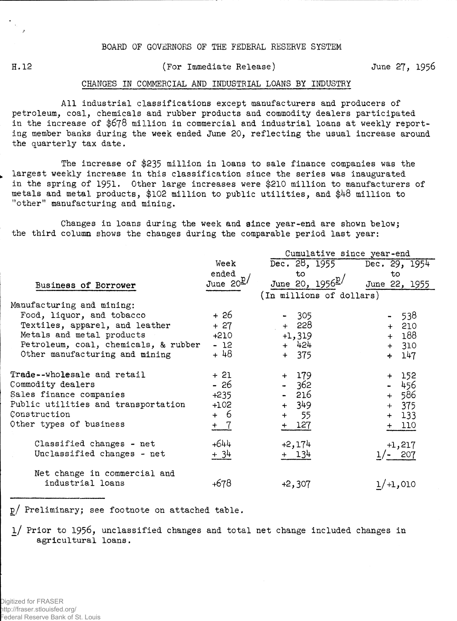## BOARD OF GOVERNORS OF THE FEDERAL RESERVE SYSTEM

H. 12

## (For Immediate Release)

June 27, 1956

## CHANGES IN COMMERCIAL AND INDUSTRIAL LOANS BY INDUSTRY

All industrial classifications except manufacturers and producers of petroleum, coal, chemicals and rubber products and commodity dealers participated in the increase of **\$678** million in commercial and industrial loans at weekly reporting member banks during the week ended June 20, reflecting the usual increase around the quarterly tax date.

The increase of \$235 million in loans to sale finance companies was the largest weekly increase in this classification since the series was inaugurated in the spring of 1951. Other large increases were \$210 million to manufacturers of metals and metal products, \$102 million to public utilities, and \$48 million to "other" manufacturing and mining.

Changes in loans during the week and since year-end are shown below; the third column shows the changes during the comparable period last year:

|                                                  |                | Cumulative since year-end     |               |  |  |  |  |  |  |
|--------------------------------------------------|----------------|-------------------------------|---------------|--|--|--|--|--|--|
|                                                  | Week           | Dec. 28, 1955 Dec. 29, 1954   |               |  |  |  |  |  |  |
|                                                  | ended          | to                            | to            |  |  |  |  |  |  |
| Business of Borrower                             | June $20^{27}$ | June 20, $1956^{\frac{p}{2}}$ | June 22, 1955 |  |  |  |  |  |  |
|                                                  |                | (In millions of dollars)      |               |  |  |  |  |  |  |
| Manufacturing and mining:                        |                |                               |               |  |  |  |  |  |  |
| Food, liquor, and tobacco                        | + 26           | $-305$                        | $-538$        |  |  |  |  |  |  |
| Textiles, apparel, and leather                   | $+27$          | + 228                         | $+ 210$       |  |  |  |  |  |  |
| Metals and metal products                        | $+210$         | $+1,319$                      | $+ 188$       |  |  |  |  |  |  |
| Petroleum, coal, chemicals, & rubber             | - 12           | $+ 424$                       | $+ 310$       |  |  |  |  |  |  |
| Other manufacturing and mining                   | + 48           | $+ 375$                       | 147<br>$+$    |  |  |  |  |  |  |
| Trade -- wholesale and retail                    | $+21$          | $+ 179$                       | $+ 152$       |  |  |  |  |  |  |
| Commodity dealers                                | $-26$          | $-362$                        | $-456$        |  |  |  |  |  |  |
| Sales finance companies                          | $+235$         | - 216                         | $+ 586$       |  |  |  |  |  |  |
| Public utilities and transportation              | $+102$         | $+ 349$                       | $+ 375$       |  |  |  |  |  |  |
| Construction                                     | + 6            | + 55                          | $+ 133$       |  |  |  |  |  |  |
| Other types of business                          | $+$ 7          | $+ 127$                       | $+ 110$       |  |  |  |  |  |  |
| Classified changes - net                         | $+644$         | $+2,174$                      | $+1,217$      |  |  |  |  |  |  |
| Unclassified changes - net                       | + 34           | + 134                         | $1/- 207$     |  |  |  |  |  |  |
| Net change in commercial and<br>industrial loans | +678           | $+2,307$                      | $1/+1,010$    |  |  |  |  |  |  |

p/ Preliminary; see footnote on attached table.

l/ Prior to 1956, unclassified changes and total net change included changes in agricultural loans.